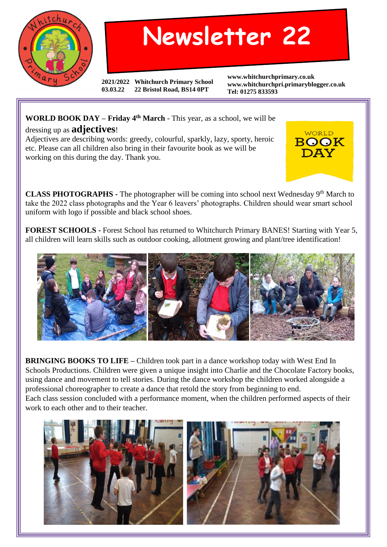

## **Newsletter 22**

**2021/2022 Whitchurch Primary School 03.03.22 22 Bristol Road, BS14 0PT**

**www.whitchurchprimary.co.uk www.whitchurchpri.primaryblogger.co.uk Tel: 01275 833593**

> WORLD BOOK

## **WORLD BOOK DAY – Friday 4th March** - This year, as a school, we will be dressing up as **adjectives**!

Adjectives are describing words: greedy, colourful, sparkly, lazy, sporty, heroic etc. Please can all children also bring in their favourite book as we will be working on this during the day. Thank you.

**CLASS PHOTOGRAPHS -** The photographer will be coming into school next Wednesday 9<sup>th</sup> March to take the 2022 class photographs and the Year 6 leavers' photographs. Children should wear smart school uniform with logo if possible and black school shoes.

**FOREST SCHOOLS -** Forest School has returned to Whitchurch Primary BANES! Starting with Year 5, all children will learn skills such as outdoor cooking, allotment growing and plant/tree identification!



**BRINGING BOOKS TO LIFE** – Children took part in a dance workshop today with West End In Schools Productions. Children were given a unique insight into Charlie and the Chocolate Factory books, using dance and movement to tell stories. During the dance workshop the children worked alongside a professional choreographer to create a dance that retold the story from beginning to end. Each class session concluded with a performance moment, when the children performed aspects of their work to each other and to their teacher.

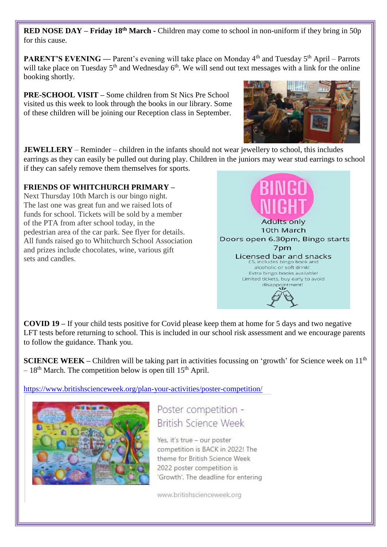**RED NOSE DAY – Friday 18th March -** Children may come to school in non-uniform if they bring in 50p for this cause.

**PARENT'S EVENING** — Parent's evening will take place on Monday 4<sup>th</sup> and Tuesday 5<sup>th</sup> April – Parrots will take place on Tuesday 5<sup>th</sup> and Wednesday 6<sup>th</sup>. We will send out text messages with a link for the online booking shortly.

**PRE-SCHOOL VISIT –** Some children from St Nics Pre School visited us this week to look through the books in our library. Some of these children will be joining our Reception class in September.



**JEWELLERY** – Reminder – children in the infants should not wear jewellery to school, this includes earrings as they can easily be pulled out during play. Children in the juniors may wear stud earrings to school if they can safely remove them themselves for sports.

## **FRIENDS OF WHITCHURCH PRIMARY –**

Next Thursday 10th March is our bingo night. The last one was great fun and we raised lots of funds for school. Tickets will be sold by a member of the PTA from after school today, in the pedestrian area of the car park. See flyer for details. All funds raised go to Whitchurch School Association and prizes include chocolates, wine, various gift sets and candles.



**COVID 19 –** If your child tests positive for Covid please keep them at home for 5 days and two negative LFT tests before returning to school. This is included in our school risk assessment and we encourage parents to follow the guidance. Thank you.

**SCIENCE WEEK** – Children will be taking part in activities focussing on 'growth' for Science week on 11<sup>th</sup>  $-18<sup>th</sup>$  March. The competition below is open till 15<sup>th</sup> April.

<https://www.britishscienceweek.org/plan-your-activities/poster-competition/>



Poster competition -**British Science Week** 

Yes, it's true - our poster competition is BACK in 2022! The theme for British Science Week 2022 poster competition is 'Growth'. The deadline for entering

www.britishscienceweek.org